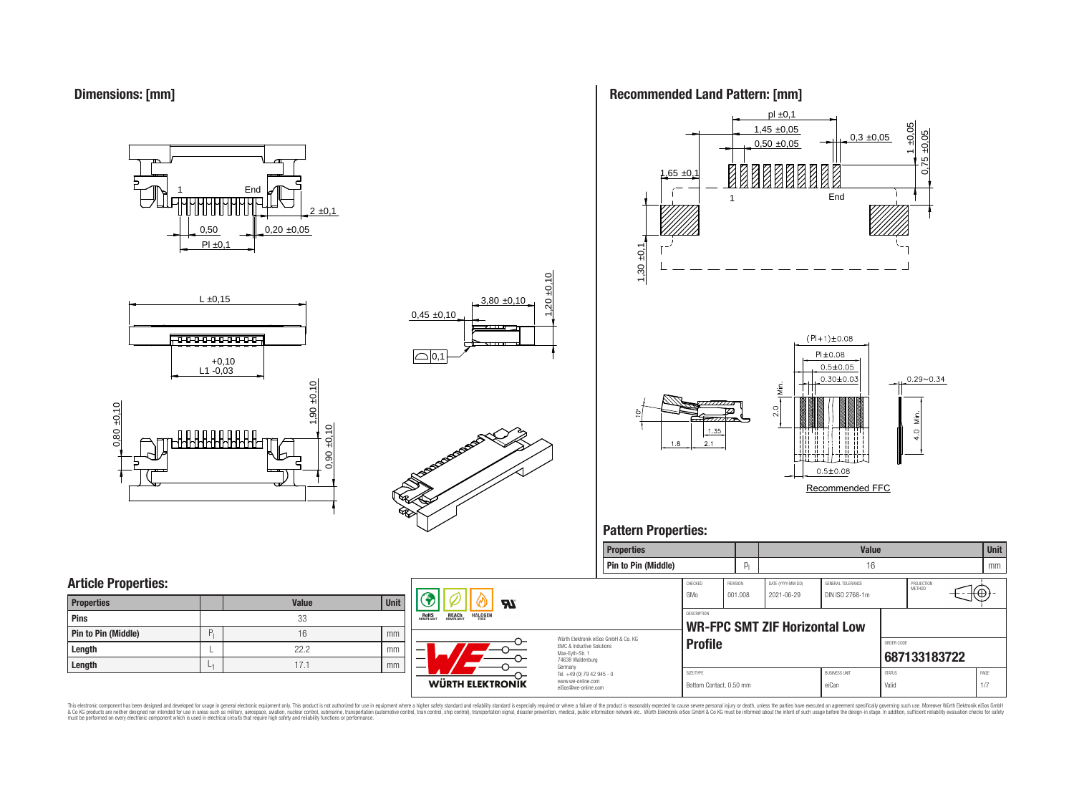**Dimensions: [mm]**

0,50  $PI \pm 0.1$  $0,20 \pm 0,05$  $2 \pm 0,1$ **End** 







# **Recommended Land Pattern: [mm]**



Recommended FFC

**Properties Value Unit**

# **Pattern Properties:**

|                            |       |      |                                                                                            | <b>Pin to Pin (Middle)</b>           |                                      |          |                               | 16                   |                        |                      |                              | mm   |
|----------------------------|-------|------|--------------------------------------------------------------------------------------------|--------------------------------------|--------------------------------------|----------|-------------------------------|----------------------|------------------------|----------------------|------------------------------|------|
| <b>Article Properties:</b> |       |      |                                                                                            |                                      | CHECKED                              | REVISION | DATE (YYYY-MM-DD)             | GENERAL TOLERANCE    |                        | PROJECTION<br>METHOD |                              |      |
| <b>Properties</b>          | Value | Unit | <b>Al</b>                                                                                  |                                      | l GMo                                | 001.008  | 2021-06-29                    | DIN ISO 2768-1m      |                        |                      | $\overline{L}(\overline{0})$ |      |
| Pins                       | 33    |      | <b>REACH</b><br>COMPLIANT<br><b>ROHS</b><br>COMPLIANT<br><b>HALOGEN</b>                    |                                      | <b>DESCRIPTION</b>                   |          |                               |                      |                        |                      |                              |      |
| Pin to Pin (Middle)        | 16    | mm   |                                                                                            | Würth Elektronik eiSos GmbH & Co. KG |                                      |          | WR-FPC SMT ZIF Horizontal Low |                      |                        |                      |                              |      |
| Length                     | 22.2  | mm   | <b>EMC &amp; Inductive Solutions</b><br>—<br>Max-Eyth-Str. 1                               |                                      | <b>Profile</b>                       |          |                               |                      | ORDER CODE             | 687133183722         |                              |      |
| Length                     | 17.1  | mm   | $\overline{\phantom{0}}$<br>74638 Waldenburg<br>Germany                                    |                                      |                                      |          |                               | <b>BUSINESS UNIT</b> |                        |                      |                              | PAGE |
|                            |       |      | Tel. +49 (0) 79 42 945 - 0<br>www.we-online.com<br>WÜRTH ELEKTRONIK<br>eiSos@we-online.com |                                      | SIZE/TYPE<br>Bottom Contact, 0.50 mm |          |                               | eiCan                | <b>STATUS</b><br>Valic |                      |                              | 1/7  |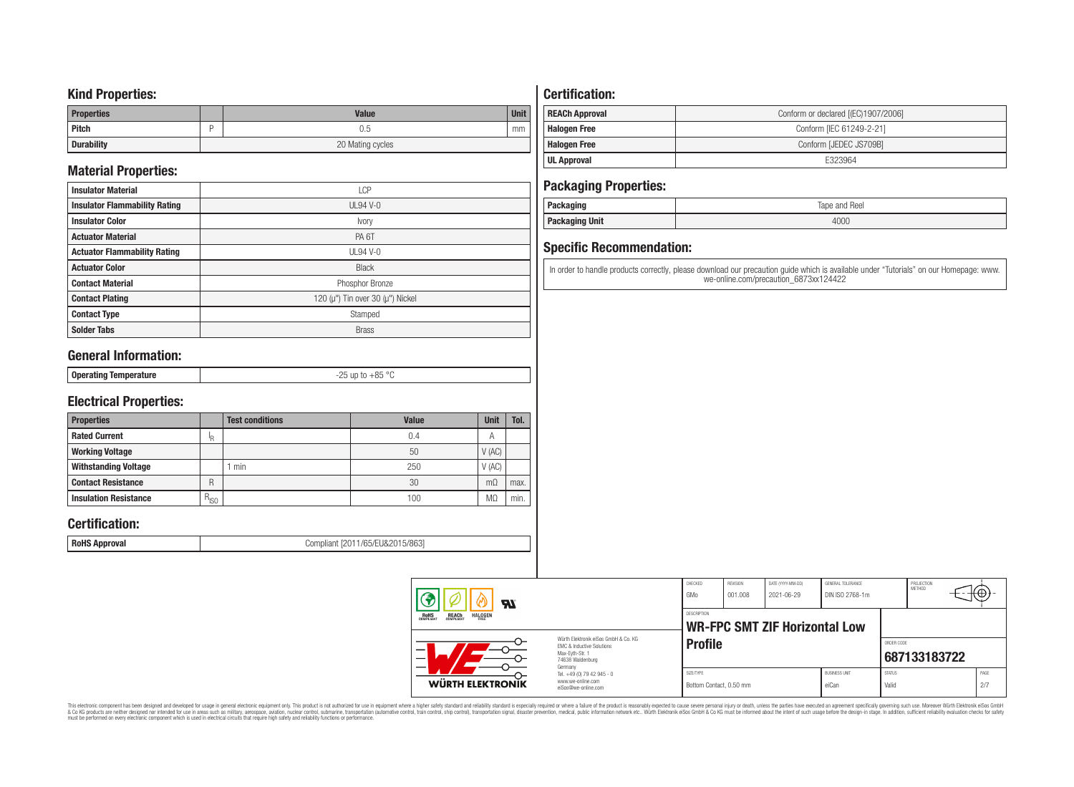### **Kind Properties:**

| <b>Properties</b> | <b>Value</b>     | <b>Unit</b> |
|-------------------|------------------|-------------|
| Pitch             | U.5              | mm          |
| <b>Durability</b> | 20 Mating cycles |             |

# **Material Properties:**

| <b>Insulator Material</b>            | <b>LCP</b>                                   |  |  |
|--------------------------------------|----------------------------------------------|--|--|
| <b>Insulator Flammability Rating</b> | $UL94V-0$                                    |  |  |
| <b>Insulator Color</b>               | Ivory                                        |  |  |
| <b>Actuator Material</b>             | PA <sub>6</sub> T                            |  |  |
| <b>Actuator Flammability Rating</b>  | $UL94V-0$                                    |  |  |
| <b>Actuator Color</b>                | <b>Black</b>                                 |  |  |
| <b>Contact Material</b>              | Phosphor Bronze                              |  |  |
| <b>Contact Plating</b>               | 120 ( $\mu$ ") Tin over 30 ( $\mu$ ") Nickel |  |  |
| <b>Contact Type</b>                  | Stamped                                      |  |  |
| <b>Solder Tabs</b>                   | <b>Brass</b>                                 |  |  |

# **General Information:**

| $\sim$ |
|--------|
|--------|

# **Electrical Properties:**

| <b>Properties</b>            |           | <b>Test conditions</b> | Value | <b>Unit</b>    | Tol. |
|------------------------------|-----------|------------------------|-------|----------------|------|
| <b>Rated Current</b>         | ΙR        |                        | 0.4   | $\overline{A}$ |      |
| <b>Working Voltage</b>       |           |                        | 50    | V(AC)          |      |
| <b>Withstanding Voltage</b>  |           | min                    | 250   | V(AC)          |      |
| <b>Contact Resistance</b>    | R         |                        | 30    | $m\Omega$      | max. |
| <b>Insulation Resistance</b> | $R_{ISO}$ |                        | 100   | M.             | min. |

# **Certification:**

**RoHS Approval RoHS Approval Compliant** [2011/65/EU&2015/863]

# **Certification:**

| <b>REACh Approval</b> | Conform or declared [(EC)1907/2006] |
|-----------------------|-------------------------------------|
| <b>Halogen Free</b>   | Conform [IEC 61249-2-21]            |
| <b>Halogen Free</b>   | Conform [JEDEC JS709B]              |
| UL Approval           | F323964                             |

## **Packaging Properties:**

| . aundyniy                | Reel<br>lape<br>and |
|---------------------------|---------------------|
| <b>Unit</b><br>rackayılıy | 4000                |

# **Specific Recommendation:**

In order to handle products correctly, please download our precaution guide which is available under "Tutorials" on our Homepage: www. we-online.com/precaution\_6873xx124422

| Яï                                                               |                                                                                                                     | CHECKED<br>GMo                       | REVISION<br>001.008 | DATE (YYYY-MM-DD)<br>2021-06-29      | GENERAL TOLERANCE<br>DIN ISO 2768-1m |                        | PROJECTION<br>METHOD | ι₩          |  |
|------------------------------------------------------------------|---------------------------------------------------------------------------------------------------------------------|--------------------------------------|---------------------|--------------------------------------|--------------------------------------|------------------------|----------------------|-------------|--|
| ROHS<br>COMPLIANT<br><b>HALOGEN</b><br><b>REACH</b><br>COMPLIANT |                                                                                                                     | <b>DESCRIPTION</b>                   |                     | <b>WR-FPC SMT ZIF Horizontal Low</b> |                                      |                        |                      |             |  |
|                                                                  | Würth Elektronik eiSos GmbH & Co. KG<br>EMC & Inductive Solutions<br>Max-Evth-Str. 1<br>74638 Waldenburg<br>Germany | <b>Profile</b>                       |                     |                                      |                                      | ORDER CODE             | 687133183722         |             |  |
| WÜRTH ELEKTRONIK                                                 | Tel. +49 (0) 79 42 945 - 0<br>www.we-online.com<br>eiSos@we-online.com                                              | SIZE/TYPE<br>Bottom Contact, 0.50 mm |                     |                                      | <b>BUSINESS UNIT</b><br>eiCan        | <b>STATUS</b><br>Valid |                      | PAGE<br>2/7 |  |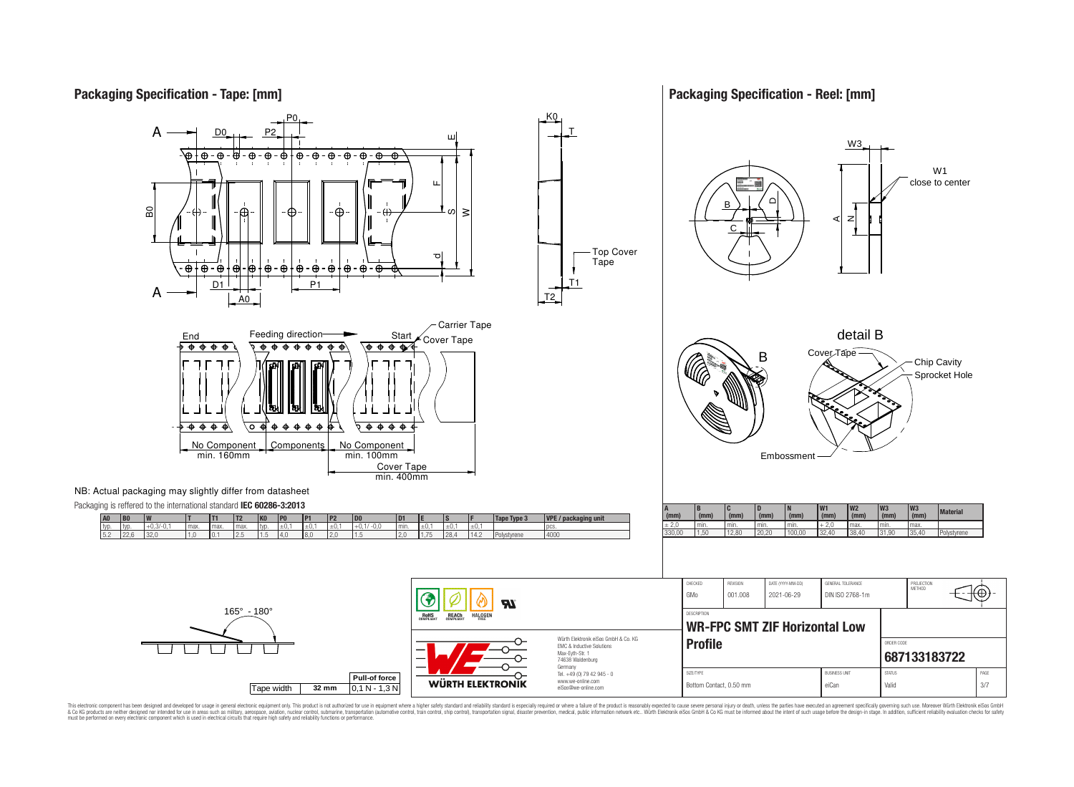## **Packaging Specification - Tape: [mm]**

165° - 180°

### **Packaging Specification - Reel: [mm]**



**Pull-of force**

**RoHS** 

REACh

HALOGEI

**WÜRTH ELEKTRONIK** 

Tape width **32 mm** 0,1 N - 1,3 N



Bottom Contact, 0.50 mm eiCan Valid 3/7

This electronic component has been designed and developed for usage in general electronic equipment only. This product is not authorized for use in equipment where a higher safely standard and reliability standard si espec & Ook product a label and the membed of the seasuch as marked and as which such a membed and the such assume that income in the seasuch and the simulation and the such assume that include to the such a membed and the such

 $\boldsymbol{\mathcal{H}}$ 

Würth Elektronik eiSos GmbH & Co. KG EMC & Inductive Solutions Max-Eyth-Str. 1 74638 Waldenburg Germany Tel. +49 (0) 79 42 945 - 0 www.we-online.com eiSos@we-online.com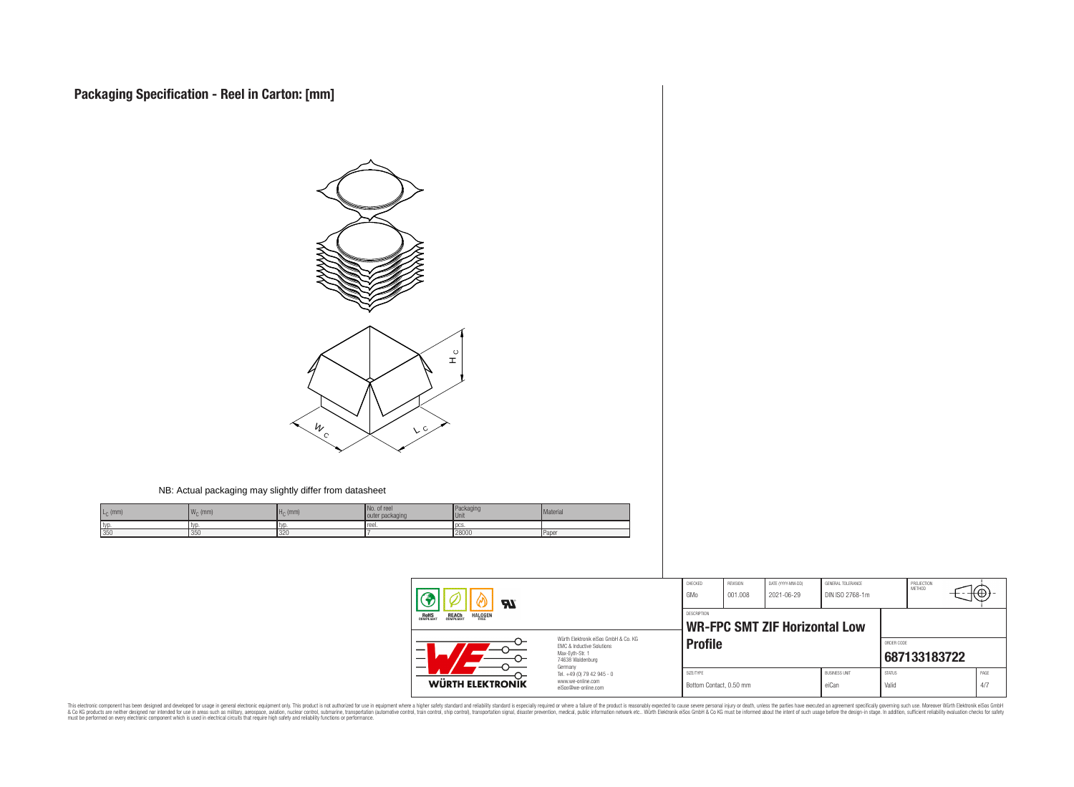

#### NB: Actual packaging may slightly differ from datasheet

| $L_C$ (mm) | 144<br>$W_C$ (mm) | $H0$ (mm) | No. of ree<br>outer packaging | Packaging<br><b>Unit</b> | Material |
|------------|-------------------|-----------|-------------------------------|--------------------------|----------|
| typ        | typ               |           | reel.                         | <b>DCS</b>               |          |
| 350        | 1350              | 320       |                               | 28000                    | Paper    |

| <b>RI</b>                                                               |                                                                                                                     | CHECKED<br>GMo                       | REVISION<br>001.008                          | DATE (YYYY-MM-DD)<br>2021-06-29 | GENERAL TOLERANCE<br>DIN ISO 2768-1m |                        | PROJECTION<br><b>METHOD</b> | ₩Œ          |
|-------------------------------------------------------------------------|---------------------------------------------------------------------------------------------------------------------|--------------------------------------|----------------------------------------------|---------------------------------|--------------------------------------|------------------------|-----------------------------|-------------|
| <b>REACH</b><br>COMPLIANT<br><b>HALOGEN</b><br><b>ROHS</b><br>COMPLIANT |                                                                                                                     |                                      | DESCRIPTION<br>WR-FPC SMT ZIF Horizontal Low |                                 |                                      |                        |                             |             |
| –                                                                       | Würth Elektronik eiSos GmbH & Co. KG<br>EMC & Inductive Solutions<br>Max-Evth-Str. 1<br>74638 Waldenburg<br>Germany | <b>Profile</b>                       |                                              |                                 |                                      | ORDER CODE             | 687133183722                |             |
| WÜRTH ELEKTRONIK                                                        | Tel. +49 (0) 79 42 945 - 0<br>www.we-online.com<br>eiSos@we-online.com                                              | SIZE/TYPE<br>Bottom Contact, 0.50 mm |                                              |                                 | <b>BUSINESS UNIT</b><br>eiCan        | <b>STATUS</b><br>Valid |                             | PAGE<br>4/7 |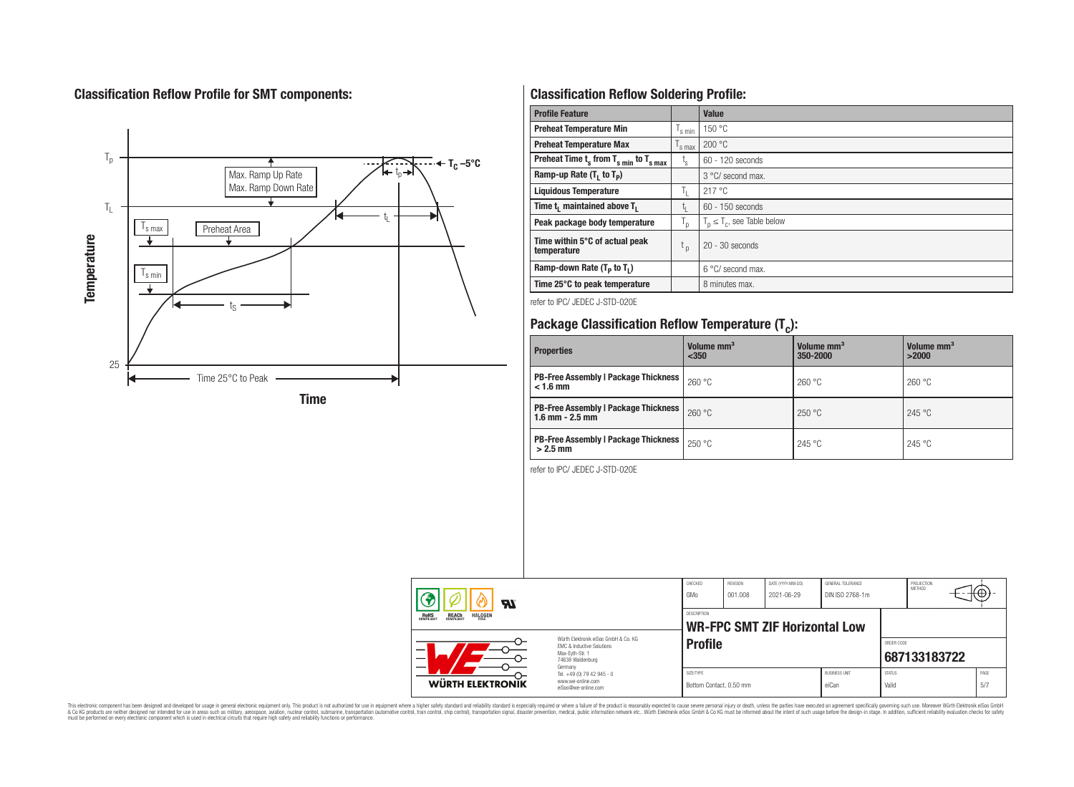# **Classification Reflow Profile for SMT components:**



# **Classification Reflow Soldering Profile:**

| <b>Profile Feature</b>                              |                    | Value                            |
|-----------------------------------------------------|--------------------|----------------------------------|
| <b>Preheat Temperature Min</b>                      | $\frac{1}{s}$ min  | 150 °C                           |
| <b>Preheat Temperature Max</b>                      | $\mathsf{I}$ s max | 200 °C                           |
| Preheat Time $t_s$ from $T_{s min}$ to $T_{s max}$  | t,                 | $60 - 120$ seconds               |
| Ramp-up Rate $(T_1$ to $T_p$ )                      |                    | $3^{\circ}$ C/ second max.       |
| <b>Liquidous Temperature</b>                        | T,                 | 217 °C                           |
| Time t <sub>i</sub> maintained above T <sub>1</sub> | t,                 | 60 - 150 seconds                 |
| Peak package body temperature                       | T <sub>o</sub>     | $T_p \leq T_c$ , see Table below |
| Time within 5°C of actual peak<br>temperature       | $t_{p}$            | $20 - 30$ seconds                |
| Ramp-down Rate $(T_p$ to $T_1$ )                    |                    | $6^{\circ}$ C/ second max.       |
| Time 25°C to peak temperature                       |                    | 8 minutes max.                   |

refer to IPC/ JEDEC J-STD-020E

# **Package Classification Reflow Temperature (T<sup>c</sup> ):**

| <b>Properties</b>                                                    | Volume mm <sup>3</sup><br>< 350 | Volume mm <sup>3</sup><br>350-2000 | Volume mm <sup>3</sup><br>>2000 |
|----------------------------------------------------------------------|---------------------------------|------------------------------------|---------------------------------|
| PB-Free Assembly   Package Thickness  <br>$< 1.6$ mm                 | 260 °C                          | 260 °C                             | 260 °C                          |
| <b>PB-Free Assembly   Package Thickness  </b><br>$1.6$ mm $- 2.5$ mm | 260 °C                          | 250 °C                             | 245 °C                          |
| <b>PB-Free Assembly   Package Thickness  </b><br>$>2.5$ mm           | 250 °C                          | 245 °C                             | 245 °C                          |

refer to IPC/ JEDEC J-STD-020E

| $\boldsymbol{\mathcal{H}}$                                                                                              |                                                                             | CHECKED<br>GMo                       | REVISION<br>001.008 | DATE (YYYY-MM-DD)<br>2021-06-29      | <b>GENERAL TOLERANCE</b><br>DIN ISO 2768-1m |                        | PROJECTION<br>METHOD | ₩Ψ           |  |  |
|-------------------------------------------------------------------------------------------------------------------------|-----------------------------------------------------------------------------|--------------------------------------|---------------------|--------------------------------------|---------------------------------------------|------------------------|----------------------|--------------|--|--|
| <b>HALOGEN</b><br><b>REACH</b><br>COMPLIANT<br><b>ROHS</b><br>COMPLIANT<br>FRFF<br>Würth Flektronik eiSos GmbH & Co. KG |                                                                             | <b>DESCRIPTION</b>                   |                     | <b>WR-FPC SMT ZIF Horizontal Low</b> |                                             | ORDER CODE             |                      |              |  |  |
| —<br>$\overline{\phantom{0}}$                                                                                           | EMC & Inductive Solutions<br>Max-Evth-Str. 1<br>74638 Waldenburg<br>Germany | <b>Profile</b>                       |                     |                                      |                                             |                        |                      | 687133183722 |  |  |
| <b>WÜRTH ELEKTRONIK</b>                                                                                                 | Tel. +49 (0) 79 42 945 - 0<br>www.we-online.com<br>eiSos@we-online.com      | SIZE/TYPE<br>Bottom Contact, 0.50 mm |                     |                                      | <b>BUSINESS UNIT</b><br>eiCan               | <b>STATUS</b><br>Valid |                      | PAGE<br>5/7  |  |  |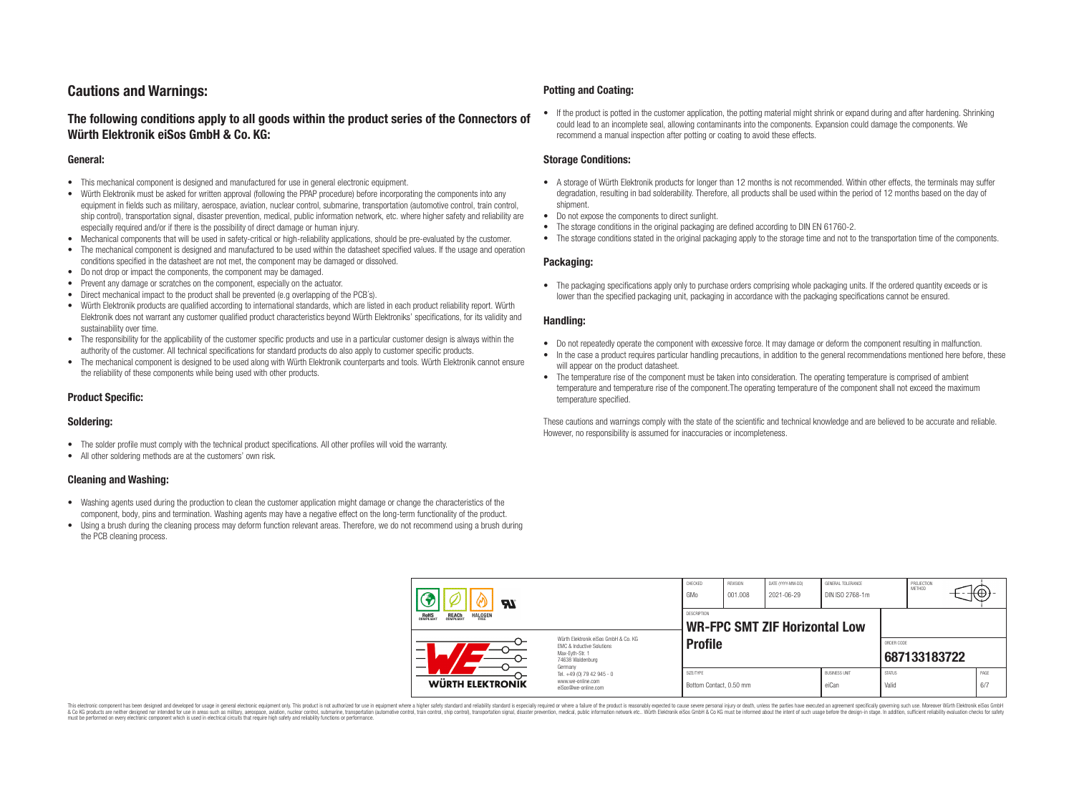# **Cautions and Warnings:**

### **The following conditions apply to all goods within the product series of the Connectors of Würth Elektronik eiSos GmbH & Co. KG:**

#### **General:**

- This mechanical component is designed and manufactured for use in general electronic equipment.
- Würth Elektronik must be asked for written approval (following the PPAP procedure) before incorporating the components into any equipment in fields such as military, aerospace, aviation, nuclear control, submarine, transportation (automotive control, train control, ship control), transportation signal, disaster prevention, medical, public information network, etc. where higher safety and reliability are especially required and/or if there is the possibility of direct damage or human injury.
- Mechanical components that will be used in safety-critical or high-reliability applications, should be pre-evaluated by the customer.
- The mechanical component is designed and manufactured to be used within the datasheet specified values. If the usage and operation conditions specified in the datasheet are not met, the component may be damaged or dissolved.
- Do not drop or impact the components, the component may be damaged.
- Prevent any damage or scratches on the component, especially on the actuator.
- Direct mechanical impact to the product shall be prevented (e.g overlapping of the PCB's).
- Würth Elektronik products are qualified according to international standards, which are listed in each product reliability report. Würth Elektronik does not warrant any customer qualified product characteristics beyond Würth Elektroniks' specifications, for its validity and sustainability over time.
- The responsibility for the applicability of the customer specific products and use in a particular customer design is always within the authority of the customer. All technical specifications for standard products do also apply to customer specific products.
- The mechanical component is designed to be used along with Würth Elektronik counterparts and tools. Würth Elektronik cannot ensure the reliability of these components while being used with other products.

#### **Product Specific:**

#### **Soldering:**

- The solder profile must comply with the technical product specifications. All other profiles will void the warranty.
- All other soldering methods are at the customers' own risk.

#### **Cleaning and Washing:**

- Washing agents used during the production to clean the customer application might damage or change the characteristics of the component, body, pins and termination. Washing agents may have a negative effect on the long-term functionality of the product.
- Using a brush during the cleaning process may deform function relevant areas. Therefore, we do not recommend using a brush during the PCB cleaning process.

#### **Potting and Coating:**

• If the product is potted in the customer application, the potting material might shrink or expand during and after hardening. Shrinking could lead to an incomplete seal, allowing contaminants into the components. Expansion could damage the components. We recommend a manual inspection after potting or coating to avoid these effects.

#### **Storage Conditions:**

- A storage of Würth Elektronik products for longer than 12 months is not recommended. Within other effects, the terminals may suffer degradation, resulting in bad solderability. Therefore, all products shall be used within the period of 12 months based on the day of shipment.
- Do not expose the components to direct sunlight.
- The storage conditions in the original packaging are defined according to DIN EN 61760-2.
- The storage conditions stated in the original packaging apply to the storage time and not to the transportation time of the components.

#### **Packaging:**

• The packaging specifications apply only to purchase orders comprising whole packaging units. If the ordered quantity exceeds or is lower than the specified packaging unit, packaging in accordance with the packaging specifications cannot be ensured.

#### **Handling:**

- Do not repeatedly operate the component with excessive force. It may damage or deform the component resulting in malfunction.
- In the case a product requires particular handling precautions, in addition to the general recommendations mentioned here before, these will appear on the product datasheet
- The temperature rise of the component must be taken into consideration. The operating temperature is comprised of ambient temperature and temperature rise of the component.The operating temperature of the component shall not exceed the maximum temperature specified.

These cautions and warnings comply with the state of the scientific and technical knowledge and are believed to be accurate and reliable. However, no responsibility is assumed for inaccuracies or incompleteness.

| Яľ<br><b>REACH</b><br>COMPLIANT<br><b>HALOGEN</b><br>ROHS<br>COMPLIANT<br>Würth Flektronik eiSos GmbH & Co. KG<br><b>FMC &amp; Inductive Solutions</b><br>Max-Evth-Str. 1<br>74638 Waldenburg<br>Germany |                                                                        | CHECKED<br>GMo                                      | REVISION<br>001.008 | DATE (YYYY-MM-DD)<br>2021-06-29 | GENERAL TOLERANCE<br>DIN ISO 2768-1m |                        | PROJECTION<br><b>METHOD</b> | ۰₩.         |  |
|----------------------------------------------------------------------------------------------------------------------------------------------------------------------------------------------------------|------------------------------------------------------------------------|-----------------------------------------------------|---------------------|---------------------------------|--------------------------------------|------------------------|-----------------------------|-------------|--|
|                                                                                                                                                                                                          |                                                                        | DESCRIPTION<br><b>WR-FPC SMT ZIF Horizontal Low</b> |                     |                                 |                                      |                        |                             |             |  |
|                                                                                                                                                                                                          |                                                                        | <b>Profile</b>                                      |                     |                                 |                                      |                        | ORDER CODE<br>687133183722  |             |  |
| <b>WÜRTH ELEKTRONIK</b>                                                                                                                                                                                  | Tel. +49 (0) 79 42 945 - 0<br>www.we-online.com<br>eiSos@we-online.com | SIZE/TYPE<br>Bottom Contact, 0.50 mm                |                     |                                 | <b>BUSINESS UNIT</b><br>eiCan        | <b>STATUS</b><br>Valid |                             | PAGE<br>6/7 |  |

This electronic component has been designed and developed for usage in general electronic equipment only. This product is not authorized for use in equipment where a higher safety standard and reliability standard si espec & Ook product a label and the membed of the seasuch as marked and as which such a membed and the such assume that income in the seasuch and the simulation and the such assume that include to the such a membed and the such